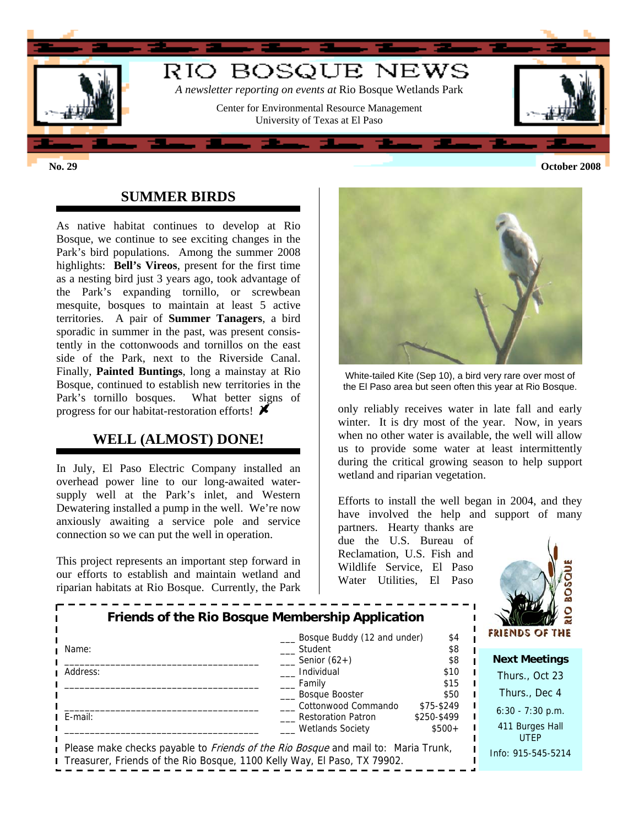

### **SUMMER BIRDS**

As native habitat continues to develop at Rio Bosque, we continue to see exciting changes in the Park's bird populations. Among the summer 2008 highlights: **Bell's Vireos**, present for the first time as a nesting bird just 3 years ago, took advantage of the Park's expanding tornillo, or screwbean mesquite, bosques to maintain at least 5 active territories. A pair of **Summer Tanagers**, a bird sporadic in summer in the past, was present consistently in the cottonwoods and tornillos on the east side of the Park, next to the Riverside Canal. Finally, **Painted Buntings**, long a mainstay at Rio Bosque, continued to establish new territories in the Park's tornillo bosques. What better signs of progress for our habitat-restoration efforts!  $\blacktriangleright$ 

## **WELL (ALMOST) DONE!**

In July, El Paso Electric Company installed an overhead power line to our long-awaited watersupply well at the Park's inlet, and Western Dewatering installed a pump in the well. We're now anxiously awaiting a service pole and service connection so we can put the well in operation.

This project represents an important step forward in our efforts to establish and maintain wetland and riparian habitats at Rio Bosque. Currently, the Park



White-tailed Kite (Sep 10), a bird very rare over most of the El Paso area but seen often this year at Rio Bosque.

only reliably receives water in late fall and early winter. It is dry most of the year. Now, in years when no other water is available, the well will allow us to provide some water at least intermittently during the critical growing season to help support wetland and riparian vegetation.

Efforts to install the well began in 2004, and they have involved the help and support of many

partners. Hearty thanks are due the U.S. Bureau of Reclamation, U.S. Fish and Wildlife Service, El Paso Water Utilities, El Paso



| Friends of the Rio Bosque Membership Application<br>Bosque Buddy (12 and under)<br>\$4                                                                                 |                                                  |                           |  | <b>FRIENDS OF THE</b>          |
|------------------------------------------------------------------------------------------------------------------------------------------------------------------------|--------------------------------------------------|---------------------------|--|--------------------------------|
| ∎ Name:                                                                                                                                                                | Student                                          | \$8                       |  |                                |
|                                                                                                                                                                        | Senior $(62+)$                                   | \$8                       |  | <b>Next Meetings</b>           |
| Address:                                                                                                                                                               | Individual<br>Family                             | \$10<br>\$15              |  | Thurs., Oct 23                 |
|                                                                                                                                                                        | <b>Bosque Booster</b>                            | \$50                      |  | Thurs., Dec 4                  |
| $I$ E-mail:                                                                                                                                                            | Cottonwood Commando<br><b>Restoration Patron</b> | \$75-\$249<br>\$250-\$499 |  | $6:30 - 7:30$ p.m.             |
|                                                                                                                                                                        | <b>Wetlands Society</b>                          | $$500+$                   |  | 411 Burges Hall<br><b>UTEP</b> |
| Please make checks payable to <i>Friends of the Rio Bosque</i> and mail to: Maria Trunk,<br>I Treasurer, Friends of the Rio Bosque, 1100 Kelly Way, El Paso, TX 79902. |                                                  |                           |  | Info: 915-545-5214             |